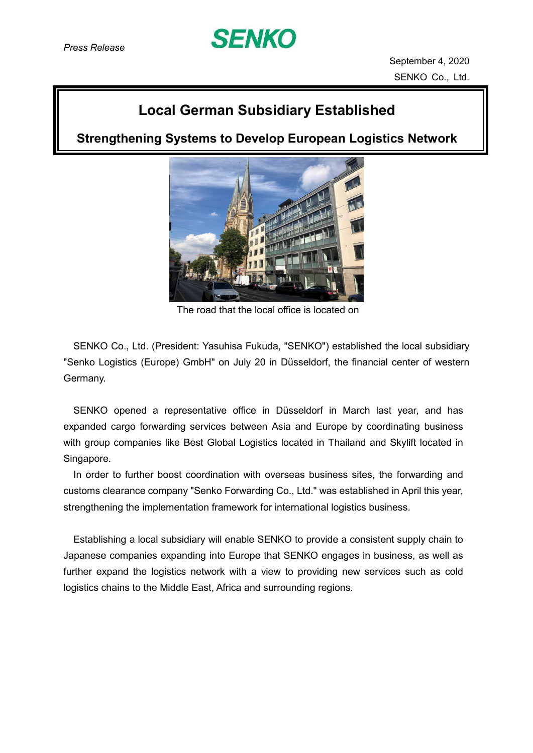

September 4, 2020 SENKO Co., Ltd.

## **Local German Subsidiary Established**

**Strengthening Systems to Develop European Logistics Network**



The road that the local office is located on

SENKO Co., Ltd. (President: Yasuhisa Fukuda, "SENKO") established the local subsidiary "Senko Logistics (Europe) GmbH" on July 20 in Düsseldorf, the financial center of western Germany.

SENKO opened a representative office in Düsseldorf in March last year, and has expanded cargo forwarding services between Asia and Europe by coordinating business with group companies like Best Global Logistics located in Thailand and Skylift located in Singapore.

In order to further boost coordination with overseas business sites, the forwarding and customs clearance company "Senko Forwarding Co., Ltd." was established in April this year, strengthening the implementation framework for international logistics business.

Establishing a local subsidiary will enable SENKO to provide a consistent supply chain to Japanese companies expanding into Europe that SENKO engages in business, as well as further expand the logistics network with a view to providing new services such as cold logistics chains to the Middle East, Africa and surrounding regions.